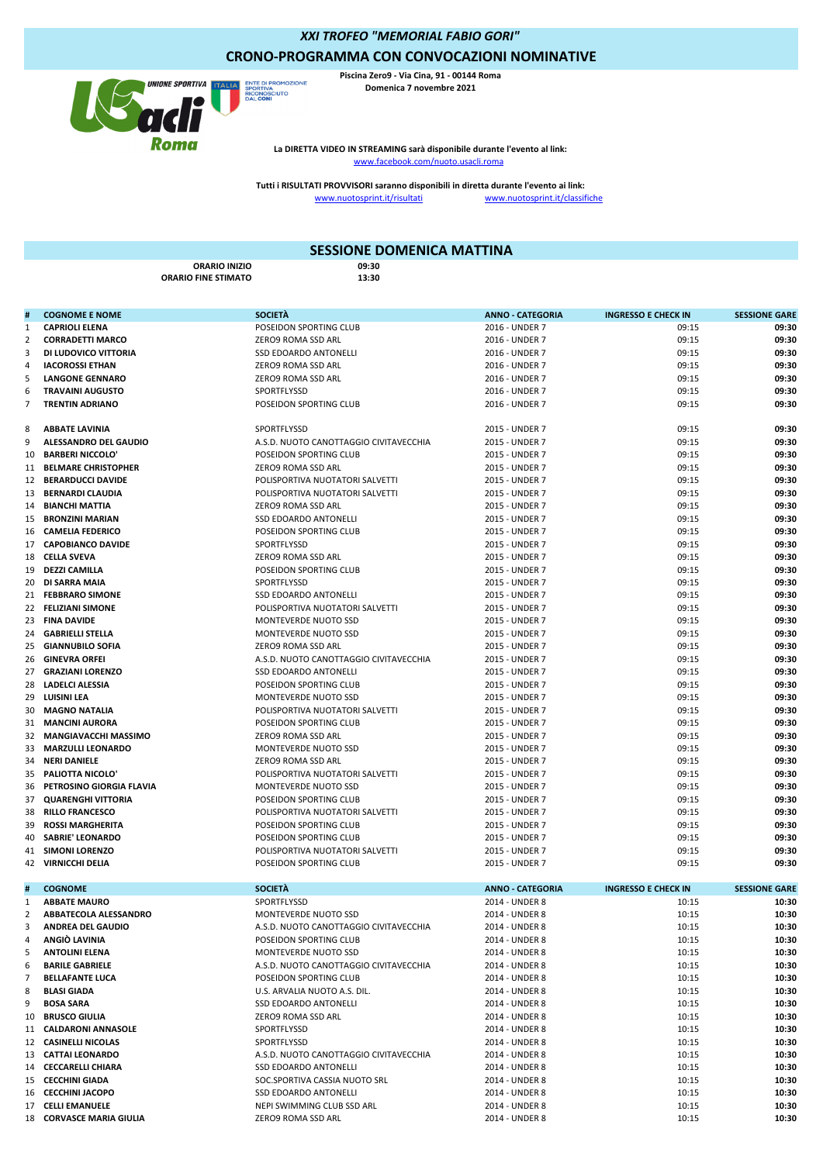*XXI TROFEO "MEMORIAL FABIO GORI"*

## **CRONO-PROGRAMMA CON CONVOCAZIONI NOMINATIVE**



**Piscina Zero9 - Via Cina, 91 - 00144 Roma Domenica 7 novembre 2021**

www.facebook.com/nuoto.usacli.rom **La DIRETTA VIDEO IN STREAMING sarà disponibile durante l'evento al link:**

www.nuotosprint.it/risultati www.nuotosprint.it/classifiche **Tutti i RISULTATI PROVVISORI saranno disponibili in diretta durante l'evento ai link:**

## **ORARIO INIZIO 09:30 ORARIO FINE STIMATO** e a cognome e nome<br>**# Anno - CATEGORIA INGRESSO E CHECK IN** SESSIONE GARE **CAPRIOLI ELENA** POSEIDON SPORTING CLUB 2016 - UNDER 7 09:15 **09:30 CORRADETTI MARCO** ZERO9 ROMA SSD ARL 2016 - UNDER 7 09:15 **09:30 DI LUDOVICO VITTORIA** SSD EDOARDO ANTONELLI 2016 - UNDER 7 09:15 **09:30 IACOROSSI ETHAN** ZERO9 ROMA SSD ARL 2016 - UNDER 7 09:15 **09:30 LANGONE GENNARO** ZERO9 ROMA SSD ARL 2016 - UNDER 7 09:15 **09:30 TRAVAINI AUGUSTO** SPORTFLYSSD 2016 - UNDER 7 09:15 **09:30 TRENTIN ADRIANO** POSEIDON SPORTING CLUB 2016 - UNDER 7 09:15 **09:30 ABBATE LAVINIA** SPORTFLYSSD 2015 - UNDER 7 09:15 **09:30 ALESSANDRO DEL GAUDIO** A.S.D. NUOTO CANOTTAGGIO CIVITAVECCHIA 2015 - UNDER 7 09:15 **09:30 BARBERI NICCOLO'** POSEIDON SPORTING CLUB 2015 - UNDER 7 09:15 **09:30 BELMARE CHRISTOPHER** ZERO9 ROMA SSD ARL 2015 - UNDER 7 09:15 **09:30 BERARDUCCI DAVIDE** POLISPORTIVA NUOTATORI SALVETTI 2015 - UNDER 7 09:15 **09:30 POLISPORTIVA NUOTATORI SALVETTI BIANCHI MATTIA** ZERO9 ROMA SSD ARL 2015 - UNDER 7 09:15 **09:30 BRONZINI MARIAN** SSD EDOARDO ANTONELLI 2015 - UNDER 7 09:15 **09:30 CAMELIA FEDERICO** POSEIDON SPORTING CLUB 2015 - UNDER 7 09:15 **09:30 CAPOBIANCO DAVIDE** SPORTFLYSSD 2015 - UNDER 7 09:15 **09:30 CELLA SVEVA** ZERO9 ROMA SSD ARL 2015 - UNDER 7 09:15 **09:30 DEZZI CAMILLA** POSEIDON SPORTING CLUB 2015 - UNDER 7 09:15 **09:30 SESSIONE DOMENICA MATTINA**

 **DI SARRA MAIA** SPORTFLYSSD 2015 - UNDER 7 09:15 **09:30 FEBBRARO SIMONE** SSD EDOARDO ANTONELLI 2015 - UNDER 7 09:15 **09:30 FELIZIANI SIMONE** POLISPORTIVA NUOTATORI SALVETTI 2015 - UNDER 7 09:15 **09:30 FINA DAVIDE** MONTEVERDE NUOTO SSD 2015 - UNDER 7 09:15 **09:30 GABRIELLI STELLA** MONTEVERDE NUOTO SSD 2015 - UNDER 7 09:15 **09:30 GIANNUBILO SOFIA** ZERO9 ROMA SSD ARL 2015 - UNDER 7 09:15 **09:30 GINEVRA ORFEI** A.S.D. NUOTO CANOTTAGGIO CIVITAVECCHIA 2015 - UNDER 7 09:15 **09:30 GRAZIANI LORENZO** SSD EDOARDO ANTONELLI 2015 - UNDER 7 09:15 **09:30 LADELCI ALESSIA** POSEIDON SPORTING CLUB 2015 - UNDER 7 09:15 **09:30 LUISINI LEA** MONTEVERDE NUOTO SSD 2015 - UNDER 7 09:15 **09:30 MAGNO NATALIA** POLISPORTIVA NUOTATORI SALVETTI 2015 - UNDER 7 09:15 **09:30 MANCINI AURORA** POSEIDON SPORTING CLUB 2015 - UNDER 7 09:15 **09:30 MANGIAVACCHI MASSIMO** ZERO9 ROMA SSD ARL 2015 - UNDER 7 09:15 **09:30 MARZULLI LEONARDO** MONTEVERDE NUOTO SSD 2015 - UNDER 7 09:15 **09:30 NERI DANIELE** ZERO9 ROMA SSD ARL 2015 - UNDER 7 09:15 **09:30 PALIOTTA NICOLO'** POLISPORTIVA NUOTATORI SALVETTI 2015 - UNDER 7 09:15 **09:30 PETROSINO GIORGIA FLAVIA** MONTEVERDE NUOTO SSD 2015 - UNDER 7 09:15 **09:30 QUARENGHI VITTORIA** POSEIDON SPORTING CLUB 2015 - UNDER 7 09:15 **09:30 RILLO FRANCESCO** POLISPORTIVA NUOTATORI SALVETTI 2015 - UNDER 7 09:15 **09:30 ROSSI MARGHERITA** POSEIDON SPORTING CLUB 2015 - UNDER 7 09:15 **09:30 POSEIDON SPORTING CLUB SIMONI LORENZO** POLISPORTIVA NUOTATORI SALVETTI 2015 - UNDER 7 09:15 **09:30 VIRNICCHI DELIA** POSEIDON SPORTING CLUB 2015 - UNDER 7 09:15 **09:30 # COGNOME SOCIETÀ ANNO - CATEGORIA INGRESSO E CHECK IN SESSIONE GARE ABBATE MAURO** SPORTFLYSSD 2014 - UNDER 8 10:15 **10:30 ABBATECOLA ALESSANDRO** 10:30<br>2014 - UNDER 8 10:15 10:30<br>2014 - UNDER 8 10:16 10:16 10:30 10:30 10:30 A S.D. NUOTO CANOTTAGGIO CIVITAVECCHIA 2014 - UNDER 8 10:16 10:16 **ANDREA DEL GAUDIO** A.S.D. NUOTO CANOTTAGGIO CIVITAVECCHIA 2014 - UNDER 8 10:15 **10:30 ANGIÒ LAVINIA** POSEIDON SPORTING CLUB 2014 - UNDER 8 10:15 **10:30 ANTOLINI ELENA** 10:15 10:30<br>10:30 10:30 10:30 10:30 MONTEVERDE NUOTO SSD 2014 - UNDER 8<br>10:15 10:30 10:30 10:30 **BARILE GABRIELE** A.S.D. NUOTO CANOTTAGGIO CIVITAVECCHIA 2014 - UNDER 8 10:15 **10:30 BELLAFANTE LUCA** POSEIDON SPORTING CLUB 2014 - UNDER 8 10:15 **10:30 BLASI GIADA** U.S. ARVALIA NUOTO A.S. DIL. 2014 - UNDER 8 10:15 **10:30 BOSA SARA** SSD EDOARDO ANTONELLI 2014 - UNDER 8 10:15 **10:30**

 **BRUSCO GIULIA** ZERO9 ROMA SSD ARL 2014 - UNDER 8 10:15 **10:30 CALDARONI ANNASOLE** SPORTFLYSSD 2014 - UNDER 8 10:15 **10:30 CASINELLI NICOLAS** SPORTFLYSSD 2014 - UNDER 8 10:15 **10:30 CATTAI LEONARDO 10:15 CATTAI LEONARDO A.S.D. NUOTO CANOTTAGGIO CIVITAVECCHIA** 2014 - UNDER 8 10:15 **10:30**<br>14 **CECCARELLI CHIARA** SSD EDOARDO ANTONELLI 2014 - UNDER 8 10:15 10:30 **CECCARELLI CHIARA** SSD EDOARDO ANTONELLI 2014 - UNDER 8 10:15 **10:30 CECCHINI GIADA** SOC.SPORTIVA CASSIA NUOTO SRL 2014 - UNDER 8 10:15 **10:30 CECCHINI JACOPO** SSD EDOARDO ANTONELLI 2014 - UNDER 8 10:15 **10:30 CELLI EMANUELE** NEPI SWIMMING CLUB SSD ARL 2014 - UNDER 8 10:15 **10:30 CORVASCE MARIA GIULIA** ZERO9 ROMA SSD ARL 2014 - UNDER 8 10:15 **10:30**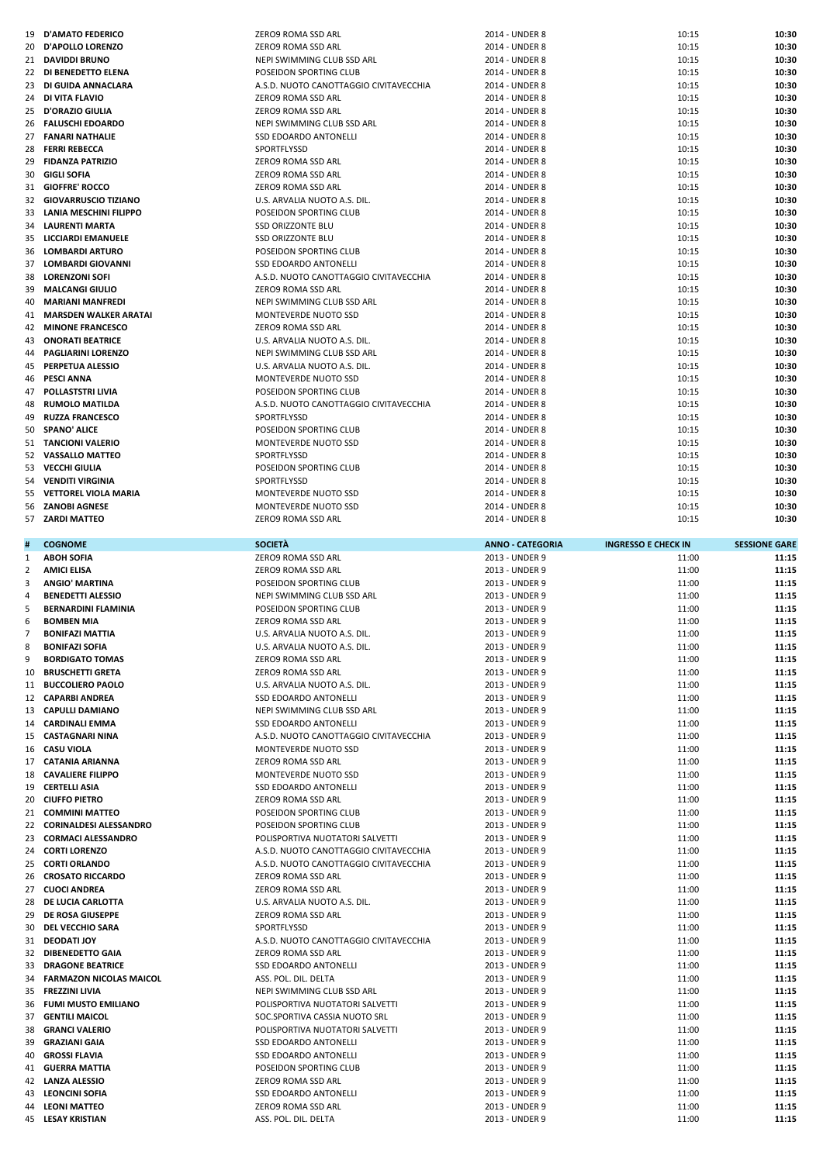| 19             | <b>D'AMATO FEDERICO</b>                                      | ZERO9 ROMA SSD ARL                                     | 2014 - UNDER 8          | 10:15                      | 10:30                |
|----------------|--------------------------------------------------------------|--------------------------------------------------------|-------------------------|----------------------------|----------------------|
| 20             | D'APOLLO LORENZO                                             | ZERO9 ROMA SSD ARL                                     | 2014 - UNDER 8          | 10:15                      | 10:30                |
|                | 21 DAVIDDI BRUNO                                             | NEPI SWIMMING CLUB SSD ARL                             | 2014 - UNDER 8          | 10:15                      | 10:30                |
|                | 22 DI BENEDETTO ELENA                                        | POSEIDON SPORTING CLUB                                 | 2014 - UNDER 8          | 10:15                      | 10:30                |
| 23             | DI GUIDA ANNACLARA                                           | A.S.D. NUOTO CANOTTAGGIO CIVITAVECCHIA                 | 2014 - UNDER 8          | 10:15                      | 10:30                |
| 24             | DI VITA FLAVIO                                               | ZERO9 ROMA SSD ARL                                     | 2014 - UNDER 8          | 10:15                      | 10:30                |
| 25             | <b>D'ORAZIO GIULIA</b>                                       | ZERO9 ROMA SSD ARL                                     | 2014 - UNDER 8          | 10:15                      | 10:30                |
| 26             | <b>FALUSCHI EDOARDO</b>                                      | NEPI SWIMMING CLUB SSD ARL                             | 2014 - UNDER 8          | 10:15                      | 10:30                |
| 27             | <b>FANARI NATHALIE</b>                                       | SSD EDOARDO ANTONELLI                                  | 2014 - UNDER 8          | 10:15                      | 10:30                |
| 28             | <b>FERRI REBECCA</b>                                         | SPORTFLYSSD                                            | 2014 - UNDER 8          | 10:15                      | 10:30                |
| 29             | <b>FIDANZA PATRIZIO</b>                                      | ZERO9 ROMA SSD ARL                                     | 2014 - UNDER 8          | 10:15                      | 10:30                |
| 30             | <b>GIGLI SOFIA</b>                                           | ZERO9 ROMA SSD ARL                                     | 2014 - UNDER 8          | 10:15                      | 10:30                |
| 31             | <b>GIOFFRE' ROCCO</b>                                        |                                                        | 2014 - UNDER 8          | 10:15                      | 10:30                |
| 32             |                                                              | ZERO9 ROMA SSD ARL                                     |                         |                            | 10:30                |
| 33             | <b>GIOVARRUSCIO TIZIANO</b><br><b>LANIA MESCHINI FILIPPO</b> | U.S. ARVALIA NUOTO A.S. DIL.<br>POSEIDON SPORTING CLUB | 2014 - UNDER 8          | 10:15                      | 10:30                |
|                |                                                              |                                                        | 2014 - UNDER 8          | 10:15                      |                      |
| 34             | <b>LAURENTI MARTA</b>                                        | <b>SSD ORIZZONTE BLU</b>                               | 2014 - UNDER 8          | 10:15                      | 10:30                |
|                | 35 LICCIARDI EMANUELE                                        | <b>SSD ORIZZONTE BLU</b>                               | 2014 - UNDER 8          | 10:15                      | 10:30                |
| 36             | <b>LOMBARDI ARTURO</b>                                       | POSEIDON SPORTING CLUB                                 | 2014 - UNDER 8          | 10:15                      | 10:30                |
| 37             | <b>LOMBARDI GIOVANNI</b>                                     | SSD EDOARDO ANTONELLI                                  | 2014 - UNDER 8          | 10:15                      | 10:30                |
| 38             | <b>LORENZONI SOFI</b>                                        | A.S.D. NUOTO CANOTTAGGIO CIVITAVECCHIA                 | 2014 - UNDER 8          | 10:15                      | 10:30                |
| 39             | <b>MALCANGI GIULIO</b>                                       | ZERO9 ROMA SSD ARL                                     | 2014 - UNDER 8          | 10:15                      | 10:30                |
| 40             | <b>MARIANI MANFREDI</b>                                      | NEPI SWIMMING CLUB SSD ARL                             | 2014 - UNDER 8          | 10:15                      | 10:30                |
| 41             | <b>MARSDEN WALKER ARATAI</b>                                 | MONTEVERDE NUOTO SSD                                   | 2014 - UNDER 8          | 10:15                      | 10:30                |
| 42             | <b>MINONE FRANCESCO</b>                                      | ZERO9 ROMA SSD ARL                                     | 2014 - UNDER 8          | 10:15                      | 10:30                |
| 43             | <b>ONORATI BEATRICE</b>                                      | U.S. ARVALIA NUOTO A.S. DIL.                           | 2014 - UNDER 8          | 10:15                      | 10:30                |
| 44             | <b>PAGLIARINI LORENZO</b>                                    | NEPI SWIMMING CLUB SSD ARL                             | 2014 - UNDER 8          | 10:15                      | 10:30                |
| 45             | PERPETUA ALESSIO                                             | U.S. ARVALIA NUOTO A.S. DIL.                           | 2014 - UNDER 8          | 10:15                      | 10:30                |
| 46             | <b>PESCI ANNA</b>                                            | MONTEVERDE NUOTO SSD                                   | 2014 - UNDER 8          | 10:15                      | 10:30                |
| 47             | POLLASTSTRI LIVIA                                            | POSEIDON SPORTING CLUB                                 | 2014 - UNDER 8          | 10:15                      | 10:30                |
| 48             | <b>RUMOLO MATILDA</b>                                        | A.S.D. NUOTO CANOTTAGGIO CIVITAVECCHIA                 | 2014 - UNDER 8          | 10:15                      | 10:30                |
| 49             | <b>RUZZA FRANCESCO</b>                                       | SPORTFLYSSD                                            | 2014 - UNDER 8          | 10:15                      | 10:30                |
| 50             | <b>SPANO' ALICE</b>                                          | POSEIDON SPORTING CLUB                                 | 2014 - UNDER 8          | 10:15                      | 10:30                |
|                | 51 TANCIONI VALERIO                                          | MONTEVERDE NUOTO SSD                                   | 2014 - UNDER 8          | 10:15                      | 10:30                |
| 52             | <b>VASSALLO MATTEO</b>                                       | SPORTFLYSSD                                            | 2014 - UNDER 8          | 10:15                      | 10:30                |
| 53             | VECCHI GIULIA                                                | POSEIDON SPORTING CLUB                                 | 2014 - UNDER 8          | 10:15                      | 10:30                |
| 54             | <b>VENDITI VIRGINIA</b>                                      | SPORTFLYSSD                                            | 2014 - UNDER 8          | 10:15                      | 10:30                |
| 55             | <b>VETTOREL VIOLA MARIA</b>                                  | MONTEVERDE NUOTO SSD                                   | 2014 - UNDER 8          | 10:15                      | 10:30                |
| 56             | <b>ZANOBI AGNESE</b>                                         | MONTEVERDE NUOTO SSD                                   | 2014 - UNDER 8          | 10:15                      | 10:30                |
|                | 57 ZARDI MATTEO                                              | ZERO9 ROMA SSD ARL                                     | 2014 - UNDER 8          | 10:15                      | 10:30                |
|                |                                                              |                                                        |                         |                            |                      |
| #              | <b>COGNOME</b>                                               | <b>SOCIETÀ</b>                                         | <b>ANNO - CATEGORIA</b> | <b>INGRESSO E CHECK IN</b> | <b>SESSIONE GARE</b> |
| $\mathbf{1}$   | <b>ABOH SOFIA</b>                                            | ZERO9 ROMA SSD ARL                                     | 2013 - UNDER 9          | 11:00                      | 11:15                |
|                |                                                              |                                                        |                         |                            |                      |
|                |                                                              |                                                        |                         |                            |                      |
| 2              | <b>AMICI ELISA</b>                                           | ZERO9 ROMA SSD ARL                                     | 2013 - UNDER 9          | 11:00                      | 11:15                |
| 3              | <b>ANGIO' MARTINA</b>                                        | POSEIDON SPORTING CLUB                                 | 2013 - UNDER 9          | 11:00                      | 11:15                |
| $\overline{4}$ | <b>BENEDETTI ALESSIO</b>                                     | NEPI SWIMMING CLUB SSD ARL                             | 2013 - UNDER 9          | 11:00                      | 11:15                |
| 5              | <b>BERNARDINI FLAMINIA</b>                                   | POSEIDON SPORTING CLUB                                 | 2013 - UNDER 9          | 11:00                      | 11:15                |
| 6              | <b>BOMBEN MIA</b>                                            | ZERO9 ROMA SSD ARL                                     | 2013 - UNDER 9          | 11:00                      | 11:15                |
| $\overline{7}$ | <b>BONIFAZI MATTIA</b>                                       | U.S. ARVALIA NUOTO A.S. DIL.                           | 2013 - UNDER 9          | 11:00                      | 11:15                |
| 8              | <b>BONIFAZI SOFIA</b>                                        | U.S. ARVALIA NUOTO A.S. DIL.                           | 2013 - UNDER 9          | 11:00                      | 11:15                |
| 9              | <b>BORDIGATO TOMAS</b>                                       | ZERO9 ROMA SSD ARL                                     | 2013 - UNDER 9          | 11:00                      | 11:15                |
| 10             | <b>BRUSCHETTI GRETA</b>                                      | ZERO9 ROMA SSD ARL                                     | 2013 - UNDER 9          | 11:00                      | 11:15                |
| 11             | <b>BUCCOLIERO PAOLO</b>                                      | U.S. ARVALIA NUOTO A.S. DIL.                           | 2013 - UNDER 9          | 11:00                      | 11:15                |
|                | 12 CAPARBI ANDREA                                            | SSD EDOARDO ANTONELLI                                  | 2013 - UNDER 9          | 11:00                      | 11:15                |
|                | 13 CAPULLI DAMIANO                                           | NEPI SWIMMING CLUB SSD ARL                             | 2013 - UNDER 9          | 11:00                      | 11:15                |
|                | 14 CARDINALI EMMA                                            | SSD EDOARDO ANTONELLI                                  | 2013 - UNDER 9          | 11:00                      | 11:15                |
|                | 15 CASTAGNARI NINA                                           | A.S.D. NUOTO CANOTTAGGIO CIVITAVECCHIA                 | 2013 - UNDER 9          | 11:00                      | 11:15                |
|                | 16 CASU VIOLA                                                | MONTEVERDE NUOTO SSD                                   | 2013 - UNDER 9          | 11:00                      | 11:15                |
|                | 17 CATANIA ARIANNA                                           | ZERO9 ROMA SSD ARL                                     | 2013 - UNDER 9          | 11:00                      | 11:15                |
|                | 18 CAVALIERE FILIPPO                                         | MONTEVERDE NUOTO SSD                                   | 2013 - UNDER 9          | 11:00                      | 11:15                |
|                | 19 CERTELLI ASIA                                             | SSD EDOARDO ANTONELLI                                  | 2013 - UNDER 9          | 11:00                      | 11:15                |
|                | 20 CIUFFO PIETRO                                             | ZERO9 ROMA SSD ARL                                     | 2013 - UNDER 9          | 11:00                      | 11:15                |
|                | 21 COMMINI MATTEO                                            | POSEIDON SPORTING CLUB                                 | 2013 - UNDER 9          | 11:00                      | 11:15                |
|                | 22 CORINALDESI ALESSANDRO                                    | POSEIDON SPORTING CLUB                                 | 2013 - UNDER 9          | 11:00                      | 11:15                |
|                | 23 CORMACI ALESSANDRO                                        | POLISPORTIVA NUOTATORI SALVETTI                        | 2013 - UNDER 9          | 11:00                      | 11:15                |
|                | 24 CORTI LORENZO                                             | A.S.D. NUOTO CANOTTAGGIO CIVITAVECCHIA                 | 2013 - UNDER 9          | 11:00                      | 11:15                |
|                | 25 CORTI ORLANDO                                             | A.S.D. NUOTO CANOTTAGGIO CIVITAVECCHIA                 | 2013 - UNDER 9          | 11:00                      | 11:15                |
|                | 26 CROSATO RICCARDO                                          | ZERO9 ROMA SSD ARL                                     | 2013 - UNDER 9          | 11:00                      | 11:15                |
|                | 27 CUOCI ANDREA                                              | ZERO9 ROMA SSD ARL                                     | 2013 - UNDER 9          | 11:00                      | 11:15                |
|                | 28 DE LUCIA CARLOTTA                                         | U.S. ARVALIA NUOTO A.S. DIL.                           | 2013 - UNDER 9          | 11:00                      | 11:15                |
|                | 29 DE ROSA GIUSEPPE                                          | ZERO9 ROMA SSD ARL                                     | 2013 - UNDER 9          | 11:00                      | 11:15                |
| 30             | <b>DEL VECCHIO SARA</b>                                      | SPORTFLYSSD                                            | 2013 - UNDER 9          | 11:00                      | 11:15                |
|                | 31 DEODATI JOY                                               | A.S.D. NUOTO CANOTTAGGIO CIVITAVECCHIA                 | 2013 - UNDER 9          | 11:00                      | 11:15                |
|                | 32 DIBENEDETTO GAIA                                          | ZERO9 ROMA SSD ARL                                     | 2013 - UNDER 9          | 11:00                      | 11:15                |
|                | 33 DRAGONE BEATRICE                                          | SSD EDOARDO ANTONELLI                                  | 2013 - UNDER 9          | 11:00                      | 11:15                |
|                | 34 FARMAZON NICOLAS MAICOL                                   | ASS. POL. DIL. DELTA                                   | 2013 - UNDER 9          | 11:00                      | 11:15                |
|                | 35 FREZZINI LIVIA                                            | NEPI SWIMMING CLUB SSD ARL                             | 2013 - UNDER 9          | 11:00                      | 11:15                |
|                | 36 FUMI MUSTO EMILIANO                                       | POLISPORTIVA NUOTATORI SALVETTI                        | 2013 - UNDER 9          | 11:00                      | 11:15                |
|                | 37 GENTILI MAICOL                                            | SOC.SPORTIVA CASSIA NUOTO SRL                          | 2013 - UNDER 9          | 11:00                      | 11:15                |
| 38             | <b>GRANCI VALERIO</b>                                        | POLISPORTIVA NUOTATORI SALVETTI                        | 2013 - UNDER 9          | 11:00                      | 11:15                |
|                | 39 GRAZIANI GAIA                                             | SSD EDOARDO ANTONELLI                                  | 2013 - UNDER 9          | 11:00                      | 11:15                |
| 40             | <b>GROSSI FLAVIA</b>                                         | SSD EDOARDO ANTONELLI                                  | 2013 - UNDER 9          | 11:00                      | 11:15                |
|                | <b>41 GUERRA MATTIA</b>                                      | POSEIDON SPORTING CLUB                                 | 2013 - UNDER 9          | 11:00                      | 11:15                |
|                | 42 LANZA ALESSIO                                             | ZERO9 ROMA SSD ARL                                     | 2013 - UNDER 9          | 11:00                      | 11:15                |
| 43             | <b>LEONCINI SOFIA</b>                                        | SSD EDOARDO ANTONELLI                                  | 2013 - UNDER 9          | 11:00                      | 11:15                |
|                | 44 LEONI MATTEO                                              | ZERO9 ROMA SSD ARL                                     | 2013 - UNDER 9          | 11:00                      | 11:15                |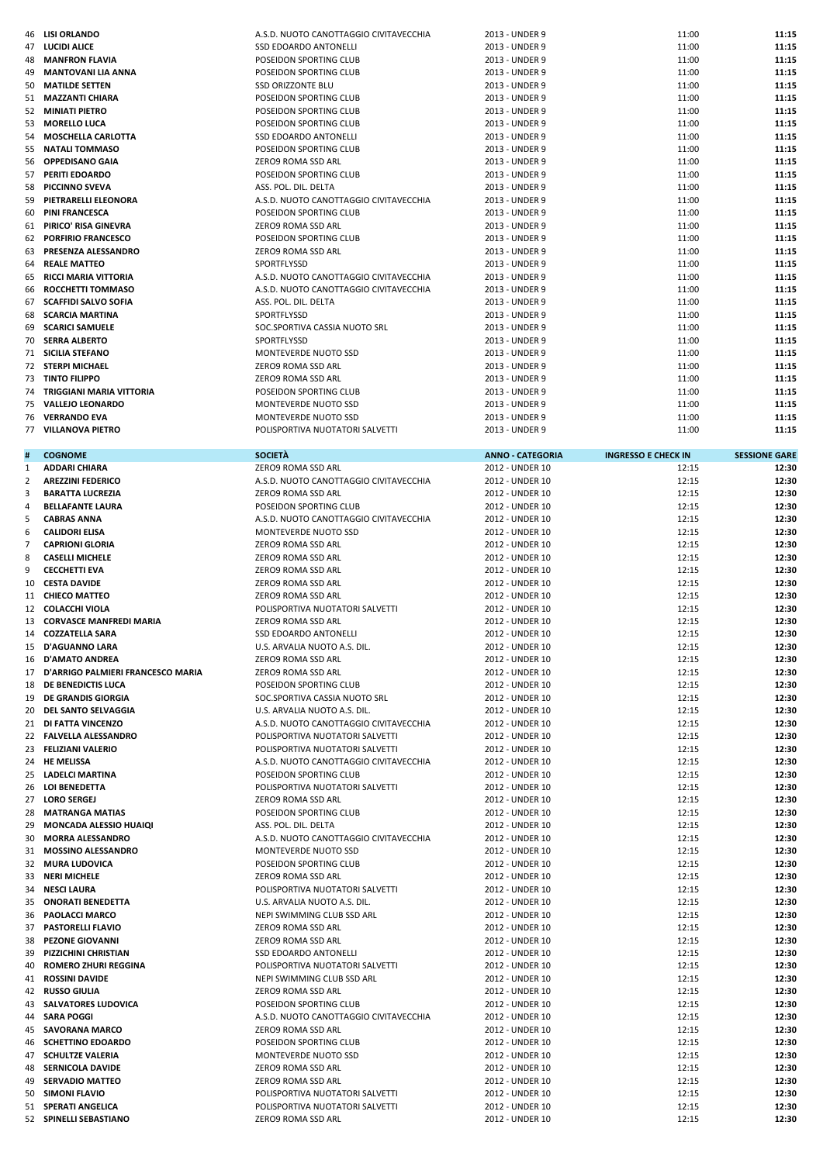| 46 | <b>LISI ORLANDO</b>                                       | A.S.D. NUOTO CANOTTAGGIO CIVITAVECCHIA                | 2013 - UNDER 9                     | 11:00                      | 11:15                |
|----|-----------------------------------------------------------|-------------------------------------------------------|------------------------------------|----------------------------|----------------------|
|    | <b>47 LUCIDI ALICE</b>                                    | SSD EDOARDO ANTONELLI                                 | 2013 - UNDER 9                     | 11:00                      | 11:15                |
| 48 | <b>MANFRON FLAVIA</b>                                     | POSEIDON SPORTING CLUB                                | 2013 - UNDER 9                     | 11:00                      | 11:15                |
| 49 | <b>MANTOVANI LIA ANNA</b>                                 | POSEIDON SPORTING CLUB                                | 2013 - UNDER 9                     | 11:00                      | 11:15                |
| 50 | <b>MATILDE SETTEN</b>                                     | <b>SSD ORIZZONTE BLU</b>                              | 2013 - UNDER 9                     | 11:00                      | 11:15                |
|    | 51 MAZZANTI CHIARA                                        | POSEIDON SPORTING CLUB                                | 2013 - UNDER 9                     | 11:00                      | 11:15                |
| 52 | <b>MINIATI PIETRO</b>                                     | POSEIDON SPORTING CLUB                                | 2013 - UNDER 9                     | 11:00                      | 11:15                |
| 53 | <b>MORELLO LUCA</b>                                       | POSEIDON SPORTING CLUB                                | 2013 - UNDER 9                     | 11:00                      | 11:15                |
| 54 | <b>MOSCHELLA CARLOTTA</b>                                 | SSD EDOARDO ANTONELLI                                 | 2013 - UNDER 9                     | 11:00                      | 11:15                |
| 55 | NATALI TOMMASO                                            | POSEIDON SPORTING CLUB                                | 2013 - UNDER 9                     | 11:00                      | 11:15                |
| 56 | <b>OPPEDISANO GAIA</b>                                    | ZERO9 ROMA SSD ARL                                    | 2013 - UNDER 9                     | 11:00                      | 11:15                |
|    | 57 PERITI EDOARDO                                         | POSEIDON SPORTING CLUB                                | 2013 - UNDER 9                     | 11:00                      | 11:15                |
| 58 | <b>PICCINNO SVEVA</b>                                     | ASS. POL. DIL. DELTA                                  | 2013 - UNDER 9                     | 11:00                      | 11:15                |
| 59 | PIETRARELLI ELEONORA                                      | A.S.D. NUOTO CANOTTAGGIO CIVITAVECCHIA                | 2013 - UNDER 9                     | 11:00                      | 11:15                |
| 60 | <b>PINI FRANCESCA</b>                                     | POSEIDON SPORTING CLUB                                | 2013 - UNDER 9                     | 11:00                      | 11:15                |
| 61 | PIRICO' RISA GINEVRA                                      | ZERO9 ROMA SSD ARL                                    | 2013 - UNDER 9                     | 11:00                      | 11:15                |
| 62 | <b>PORFIRIO FRANCESCO</b>                                 | POSEIDON SPORTING CLUB                                | 2013 - UNDER 9                     | 11:00                      | 11:15                |
| 63 | <b>PRESENZA ALESSANDRO</b>                                | ZERO9 ROMA SSD ARL                                    | 2013 - UNDER 9                     | 11:00                      | 11:15                |
|    | <b>64 REALE MATTEO</b>                                    | SPORTFLYSSD                                           | 2013 - UNDER 9                     | 11:00                      | 11:15                |
| 65 | <b>RICCI MARIA VITTORIA</b>                               | A.S.D. NUOTO CANOTTAGGIO CIVITAVECCHIA                | 2013 - UNDER 9                     | 11:00                      | 11:15                |
| 66 | ROCCHETTI TOMMASO                                         | A.S.D. NUOTO CANOTTAGGIO CIVITAVECCHIA                | 2013 - UNDER 9                     | 11:00                      | 11:15                |
| 67 | <b>SCAFFIDI SALVO SOFIA</b>                               | ASS. POL. DIL. DELTA                                  | 2013 - UNDER 9                     | 11:00                      | 11:15                |
| 68 | <b>SCARCIA MARTINA</b>                                    | SPORTFLYSSD                                           | 2013 - UNDER 9                     | 11:00                      | 11:15                |
| 69 | <b>SCARICI SAMUELE</b>                                    | SOC.SPORTIVA CASSIA NUOTO SRL                         | 2013 - UNDER 9                     | 11:00                      | 11:15                |
| 70 | <b>SERRA ALBERTO</b>                                      | SPORTFLYSSD                                           | 2013 - UNDER 9                     | 11:00                      | 11:15                |
|    | 71 SICILIA STEFANO                                        | MONTEVERDE NUOTO SSD                                  | 2013 - UNDER 9                     | 11:00                      | 11:15                |
| 72 | <b>STERPI MICHAEL</b>                                     | ZERO9 ROMA SSD ARL                                    | 2013 - UNDER 9                     | 11:00                      | 11:15                |
|    | <b>73 TINTO FILIPPO</b>                                   | ZERO9 ROMA SSD ARL                                    | 2013 - UNDER 9                     | 11:00                      | 11:15                |
| 74 | TRIGGIANI MARIA VITTORIA                                  | POSEIDON SPORTING CLUB                                | 2013 - UNDER 9                     | 11:00                      | 11:15                |
| 75 | <b>VALLEJO LEONARDO</b>                                   | <b>MONTEVERDE NUOTO SSD</b>                           | 2013 - UNDER 9                     | 11:00                      | 11:15                |
| 76 | <b>VERRANDO EVA</b>                                       | MONTEVERDE NUOTO SSD                                  | 2013 - UNDER 9                     | 11:00                      | 11:15<br>11:15       |
|    | 77 VILLANOVA PIETRO                                       | POLISPORTIVA NUOTATORI SALVETTI                       | 2013 - UNDER 9                     | 11:00                      |                      |
|    | <b>COGNOME</b>                                            | <b>SOCIETÀ</b>                                        | <b>ANNO - CATEGORIA</b>            | <b>INGRESSO E CHECK IN</b> | <b>SESSIONE GARE</b> |
| 1  | <b>ADDARI CHIARA</b>                                      | ZERO9 ROMA SSD ARL                                    | 2012 - UNDER 10                    | 12:15                      | 12:30                |
| 2  | <b>AREZZINI FEDERICO</b>                                  | A.S.D. NUOTO CANOTTAGGIO CIVITAVECCHIA                | 2012 - UNDER 10                    | 12:15                      | 12:30                |
| 3  | <b>BARATTA LUCREZIA</b>                                   | ZERO9 ROMA SSD ARL                                    | 2012 - UNDER 10                    | 12:15                      | 12:30                |
| 4  | <b>BELLAFANTE LAURA</b>                                   | POSEIDON SPORTING CLUB                                | 2012 - UNDER 10                    | 12:15                      | 12:30                |
| 5  | <b>CABRAS ANNA</b>                                        | A.S.D. NUOTO CANOTTAGGIO CIVITAVECCHIA                | 2012 - UNDER 10                    | 12:15                      | 12:30                |
| 6  | <b>CALIDORI ELISA</b>                                     | MONTEVERDE NUOTO SSD                                  | 2012 - UNDER 10                    | 12:15                      | 12:30                |
| 7  | <b>CAPRIONI GLORIA</b>                                    | ZERO9 ROMA SSD ARL                                    | 2012 - UNDER 10                    | 12:15                      | 12:30                |
| 8  | <b>CASELLI MICHELE</b>                                    | ZERO9 ROMA SSD ARL                                    | 2012 - UNDER 10                    | 12:15                      | 12:30                |
|    |                                                           |                                                       |                                    |                            |                      |
|    |                                                           |                                                       |                                    |                            |                      |
| 9  | <b>CECCHETTI EVA</b>                                      | ZERO9 ROMA SSD ARL                                    | 2012 - UNDER 10                    | 12:15                      | 12:30                |
| 10 | <b>CESTA DAVIDE</b>                                       | ZERO9 ROMA SSD ARL                                    | 2012 - UNDER 10                    | 12:15                      | 12:30                |
|    | 11 CHIECO MATTEO                                          | ZERO9 ROMA SSD ARL                                    | 2012 - UNDER 10                    | 12:15                      | 12:30                |
| 13 | 12 COLACCHI VIOLA                                         | POLISPORTIVA NUOTATORI SALVETTI                       | 2012 - UNDER 10                    | 12:15                      | 12:30                |
|    | <b>CORVASCE MANFREDI MARIA</b>                            | ZERO9 ROMA SSD ARL                                    | 2012 - UNDER 10                    | 12:15                      | 12:30                |
|    | 14 COZZATELLA SARA                                        | SSD EDOARDO ANTONELLI                                 | 2012 - UNDER 10                    | 12:15                      | 12:30<br>12:30       |
|    | 15 D'AGUANNO LARA                                         | U.S. ARVALIA NUOTO A.S. DIL                           | 2012 - UNDER 10<br>2012 - UNDER 10 | 12:15                      |                      |
|    | 16 D'AMATO ANDREA<br>17 D'ARRIGO PALMIERI FRANCESCO MARIA | ZERO9 ROMA SSD ARL<br>ZERO9 ROMA SSD ARL              |                                    | 12:15<br>12:15             | 12:30<br>12:30       |
|    | <b>18 DE BENEDICTIS LUCA</b>                              | POSEIDON SPORTING CLUB                                | 2012 - UNDER 10<br>2012 - UNDER 10 | 12:15                      | 12:30                |
| 19 | <b>DE GRANDIS GIORGIA</b>                                 | SOC.SPORTIVA CASSIA NUOTO SRL                         | 2012 - UNDER 10                    | 12:15                      | 12:30                |
|    | 20 DEL SANTO SELVAGGIA                                    | U.S. ARVALIA NUOTO A.S. DIL.                          | 2012 - UNDER 10                    | 12:15                      | 12:30                |
|    | 21 DI FATTA VINCENZO                                      | A.S.D. NUOTO CANOTTAGGIO CIVITAVECCHIA                | 2012 - UNDER 10                    | 12:15                      | 12:30                |
|    | 22 FALVELLA ALESSANDRO                                    | POLISPORTIVA NUOTATORI SALVETTI                       | 2012 - UNDER 10                    | 12:15                      | 12:30                |
|    | 23 FELIZIANI VALERIO                                      | POLISPORTIVA NUOTATORI SALVETTI                       | 2012 - UNDER 10                    | 12:15                      | 12:30                |
|    | 24 HE MELISSA                                             | A.S.D. NUOTO CANOTTAGGIO CIVITAVECCHIA                | 2012 - UNDER 10                    | 12:15                      | 12:30                |
|    | 25 LADELCI MARTINA                                        | POSEIDON SPORTING CLUB                                | 2012 - UNDER 10                    | 12:15                      | 12:30                |
|    | 26 LOI BENEDETTA                                          | POLISPORTIVA NUOTATORI SALVETTI                       | 2012 - UNDER 10                    | 12:15                      | 12:30                |
|    | 27 LORO SERGEJ                                            | ZERO9 ROMA SSD ARL                                    | 2012 - UNDER 10                    | 12:15                      | 12:30                |
|    | 28 MATRANGA MATIAS                                        | POSEIDON SPORTING CLUB                                | 2012 - UNDER 10                    | 12:15                      | 12:30                |
| 29 | MONCADA ALESSIO HUAIQI                                    | ASS. POL. DIL. DELTA                                  | 2012 - UNDER 10                    | 12:15                      | 12:30                |
| 30 | <b>MORRA ALESSANDRO</b>                                   | A.S.D. NUOTO CANOTTAGGIO CIVITAVECCHIA                | 2012 - UNDER 10                    | 12:15                      | 12:30                |
|    | 31 MOSSINO ALESSANDRO                                     | MONTEVERDE NUOTO SSD                                  | 2012 - UNDER 10                    | 12:15                      | 12:30                |
|    | 32 MURA LUDOVICA                                          | POSEIDON SPORTING CLUB                                | 2012 - UNDER 10                    | 12:15                      | 12:30                |
|    | 33 NERI MICHELE                                           | ZERO9 ROMA SSD ARL                                    | 2012 - UNDER 10                    | 12:15                      | 12:30                |
|    | 34 NESCI LAURA                                            | POLISPORTIVA NUOTATORI SALVETTI                       | 2012 - UNDER 10                    | 12:15                      | 12:30                |
|    | 35 ONORATI BENEDETTA                                      | U.S. ARVALIA NUOTO A.S. DIL.                          | 2012 - UNDER 10                    | 12:15                      | 12:30                |
|    | 36 PAOLACCI MARCO                                         | NEPI SWIMMING CLUB SSD ARL                            | 2012 - UNDER 10                    | 12:15                      | 12:30                |
|    | 37 PASTORELLI FLAVIO                                      | ZERO9 ROMA SSD ARL                                    | 2012 - UNDER 10                    | 12:15                      | 12:30                |
|    | 38 PEZONE GIOVANNI                                        | ZERO9 ROMA SSD ARL                                    | 2012 - UNDER 10                    | 12:15                      | 12:30                |
|    | 39 PIZZICHINI CHRISTIAN                                   | SSD EDOARDO ANTONELLI                                 | 2012 - UNDER 10                    | 12:15                      | 12:30                |
| 40 | <b>ROMERO ZHURI REGGINA</b>                               | POLISPORTIVA NUOTATORI SALVETTI                       | 2012 - UNDER 10                    | 12:15                      | 12:30                |
|    | 41 ROSSINI DAVIDE                                         | NEPI SWIMMING CLUB SSD ARL                            | 2012 - UNDER 10                    | 12:15                      | 12:30                |
|    | 42 RUSSO GIULIA                                           | ZERO9 ROMA SSD ARL                                    | 2012 - UNDER 10                    | 12:15                      | 12:30                |
|    | 43 SALVATORES LUDOVICA                                    | POSEIDON SPORTING CLUB                                | 2012 - UNDER 10                    | 12:15                      | 12:30                |
|    | 44 SARA POGGI                                             | A.S.D. NUOTO CANOTTAGGIO CIVITAVECCHIA                | 2012 - UNDER 10                    | 12:15                      | 12:30                |
|    | 45 SAVORANA MARCO                                         | ZERO9 ROMA SSD ARL                                    | 2012 - UNDER 10                    | 12:15                      | 12:30                |
|    | 46 SCHETTINO EDOARDO                                      | POSEIDON SPORTING CLUB                                | 2012 - UNDER 10                    | 12:15                      | 12:30                |
|    | <b>47 SCHULTZE VALERIA</b>                                | MONTEVERDE NUOTO SSD                                  | 2012 - UNDER 10                    | 12:15                      | 12:30                |
|    | <b>48 SERNICOLA DAVIDE</b>                                | ZERO9 ROMA SSD ARL                                    | 2012 - UNDER 10                    | 12:15                      | 12:30                |
| 49 | <b>SERVADIO MATTEO</b>                                    | ZERO9 ROMA SSD ARL                                    | 2012 - UNDER 10                    | 12:15                      | 12:30                |
|    | 50 SIMONI FLAVIO                                          | POLISPORTIVA NUOTATORI SALVETTI                       | 2012 - UNDER 10                    | 12:15                      | 12:30                |
|    | 51 SPERATI ANGELICA<br>52 SPINELLI SEBASTIANO             | POLISPORTIVA NUOTATORI SALVETTI<br>ZERO9 ROMA SSD ARL | 2012 - UNDER 10<br>2012 - UNDER 10 | 12:15<br>12:15             | 12:30<br>12:30       |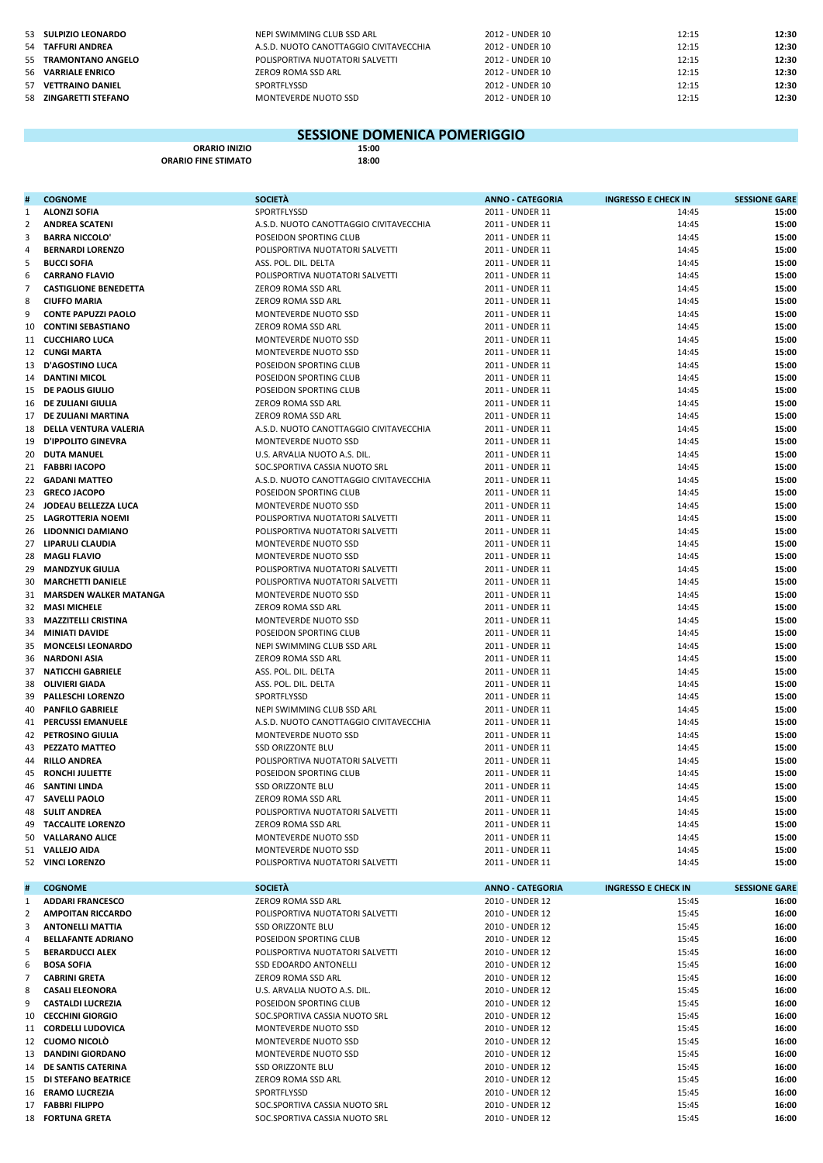| 53 SULPIZIO LEONARDO  | NEPI SWIMMING CLUB SSD ARL             | 2012 - UNDER 10 | 12:15 | 12:30 |
|-----------------------|----------------------------------------|-----------------|-------|-------|
| 54 TAFFURI ANDREA     | A.S.D. NUOTO CANOTTAGGIO CIVITAVECCHIA | 2012 - UNDER 10 | 12:15 | 12:30 |
| 55 TRAMONTANO ANGELO  | POLISPORTIVA NUOTATORI SALVETTI        | 2012 - UNDER 10 | 12:15 | 12:30 |
| 56 VARRIALE ENRICO    | ZERO9 ROMA SSD ARL                     | 2012 - UNDER 10 | 12:15 | 12:30 |
| 57 VETTRAINO DANIEL   | SPORTFLYSSD                            | 2012 - UNDER 10 | 12:15 | 12:30 |
| 58 ZINGARETTI STEFANO | MONTEVERDE NUOTO SSD                   | 2012 - UNDER 10 | 12:15 | 12:30 |

## **ORARIO INIZIO 15:00 SESSIONE DOMENICA POMERIGGIO**

**ORARIO FINE STIMATO** 18:00

| #                   | <b>COGNOME</b>                                      | <b>SOCIETÀ</b>                                                     | <b>ANNO - CATEGORIA</b>            | <b>INGRESSO E CHECK IN</b> | <b>SESSIONE GARE</b> |
|---------------------|-----------------------------------------------------|--------------------------------------------------------------------|------------------------------------|----------------------------|----------------------|
| 1                   | <b>ALONZI SOFIA</b>                                 | SPORTFLYSSD                                                        | 2011 - UNDER 11                    | 14:45                      | 15:00                |
| 2                   | <b>ANDREA SCATENI</b>                               | A.S.D. NUOTO CANOTTAGGIO CIVITAVECCHIA                             | 2011 - UNDER 11                    | 14:45                      | 15:00                |
| 3                   | <b>BARRA NICCOLO'</b>                               | POSEIDON SPORTING CLUB                                             | 2011 - UNDER 11                    | 14:45                      | 15:00                |
| 4                   | <b>BERNARDI LORENZO</b>                             | POLISPORTIVA NUOTATORI SALVETTI                                    | 2011 - UNDER 11                    | 14:45                      | 15:00                |
| 5                   | <b>BUCCI SOFIA</b>                                  | ASS. POL. DIL. DELTA                                               | 2011 - UNDER 11                    | 14:45                      | 15:00                |
| 6                   | <b>CARRANO FLAVIO</b>                               | POLISPORTIVA NUOTATORI SALVETTI                                    | 2011 - UNDER 11                    | 14:45                      | 15:00                |
| $\overline{7}$<br>8 | <b>CASTIGLIONE BENEDETTA</b><br><b>CIUFFO MARIA</b> | ZERO9 ROMA SSD ARL                                                 | 2011 - UNDER 11                    | 14:45<br>14:45             | 15:00<br>15:00       |
| 9                   | <b>CONTE PAPUZZI PAOLO</b>                          | ZERO9 ROMA SSD ARL<br>MONTEVERDE NUOTO SSD                         | 2011 - UNDER 11<br>2011 - UNDER 11 | 14:45                      | 15:00                |
| 10                  | <b>CONTINI SEBASTIANO</b>                           | ZERO9 ROMA SSD ARL                                                 | 2011 - UNDER 11                    | 14:45                      | 15:00                |
|                     | 11 CUCCHIARO LUCA                                   | MONTEVERDE NUOTO SSD                                               | 2011 - UNDER 11                    | 14:45                      | 15:00                |
|                     | 12 CUNGI MARTA                                      | MONTEVERDE NUOTO SSD                                               | 2011 - UNDER 11                    | 14:45                      | 15:00                |
|                     | 13 D'AGOSTINO LUCA                                  | POSEIDON SPORTING CLUB                                             | 2011 - UNDER 11                    | 14:45                      | 15:00                |
| 14                  | <b>DANTINI MICOL</b>                                | POSEIDON SPORTING CLUB                                             | 2011 - UNDER 11                    | 14:45                      | 15:00                |
|                     | 15 DE PAOLIS GIULIO                                 | POSEIDON SPORTING CLUB                                             | 2011 - UNDER 11                    | 14:45                      | 15:00                |
| 16                  | DE ZULIANI GIULIA                                   | ZERO9 ROMA SSD ARL                                                 | 2011 - UNDER 11                    | 14:45                      | 15:00                |
|                     | 17 DE ZULIANI MARTINA                               | ZERO9 ROMA SSD ARL                                                 | 2011 - UNDER 11                    | 14:45                      | 15:00                |
| 18                  | DELLA VENTURA VALERIA                               | A.S.D. NUOTO CANOTTAGGIO CIVITAVECCHIA                             | 2011 - UNDER 11                    | 14:45                      | 15:00                |
| 19                  | <b>D'IPPOLITO GINEVRA</b>                           | MONTEVERDE NUOTO SSD                                               | 2011 - UNDER 11                    | 14:45                      | 15:00                |
| 20                  | <b>DUTA MANUEL</b>                                  | U.S. ARVALIA NUOTO A.S. DIL.                                       | 2011 - UNDER 11                    | 14:45                      | 15:00                |
|                     | 21 FABBRI IACOPO                                    | SOC.SPORTIVA CASSIA NUOTO SRL                                      | 2011 - UNDER 11                    | 14:45                      | 15:00                |
|                     | 22 GADANI MATTEO                                    | A.S.D. NUOTO CANOTTAGGIO CIVITAVECCHIA                             | 2011 - UNDER 11                    | 14:45                      | 15:00                |
| 23                  | <b>GRECO JACOPO</b>                                 | POSEIDON SPORTING CLUB                                             | 2011 - UNDER 11                    | 14:45                      | 15:00                |
| 24                  | JODEAU BELLEZZA LUCA                                | MONTEVERDE NUOTO SSD                                               | 2011 - UNDER 11                    | 14:45                      | 15:00                |
| 25                  | <b>LAGROTTERIA NOEMI</b>                            | POLISPORTIVA NUOTATORI SALVETTI                                    | 2011 - UNDER 11                    | 14:45                      | 15:00                |
|                     | 26 LIDONNICI DAMIANO                                | POLISPORTIVA NUOTATORI SALVETTI                                    | 2011 - UNDER 11                    | 14:45                      | 15:00                |
|                     | 27 LIPARULI CLAUDIA<br>28 MAGLI FLAVIO              | MONTEVERDE NUOTO SSD                                               | 2011 - UNDER 11                    | 14:45                      | 15:00                |
|                     | <b>MANDZYUK GIULIA</b>                              | MONTEVERDE NUOTO SSD                                               | 2011 - UNDER 11                    | 14:45                      | 15:00                |
| 29<br>30            | <b>MARCHETTI DANIELE</b>                            | POLISPORTIVA NUOTATORI SALVETTI<br>POLISPORTIVA NUOTATORI SALVETTI | 2011 - UNDER 11<br>2011 - UNDER 11 | 14:45<br>14:45             | 15:00<br>15:00       |
|                     | 31 MARSDEN WALKER MATANGA                           | MONTEVERDE NUOTO SSD                                               | 2011 - UNDER 11                    | 14:45                      | 15:00                |
|                     | 32 MASI MICHELE                                     | ZERO9 ROMA SSD ARL                                                 | 2011 - UNDER 11                    | 14:45                      | 15:00                |
| 33                  | <b>MAZZITELLI CRISTINA</b>                          | MONTEVERDE NUOTO SSD                                               | 2011 - UNDER 11                    | 14:45                      | 15:00                |
| 34                  | <b>MINIATI DAVIDE</b>                               | POSEIDON SPORTING CLUB                                             | 2011 - UNDER 11                    | 14:45                      | 15:00                |
| 35                  | <b>MONCELSI LEONARDO</b>                            | NEPI SWIMMING CLUB SSD ARL                                         | 2011 - UNDER 11                    | 14:45                      | 15:00                |
| 36                  | NARDONI ASIA                                        | ZERO9 ROMA SSD ARL                                                 | 2011 - UNDER 11                    | 14:45                      | 15:00                |
| 37                  | <b>NATICCHI GABRIELE</b>                            | ASS. POL. DIL. DELTA                                               | 2011 - UNDER 11                    | 14:45                      | 15:00                |
| 38                  | <b>OLIVIERI GIADA</b>                               | ASS. POL. DIL. DELTA                                               | 2011 - UNDER 11                    | 14:45                      | 15:00                |
| 39                  | <b>PALLESCHI LORENZO</b>                            | SPORTFLYSSD                                                        | 2011 - UNDER 11                    | 14:45                      | 15:00                |
| 40                  | <b>PANFILO GABRIELE</b>                             | NEPI SWIMMING CLUB SSD ARL                                         | 2011 - UNDER 11                    | 14:45                      | 15:00                |
|                     | 41 PERCUSSI EMANUELE                                | A.S.D. NUOTO CANOTTAGGIO CIVITAVECCHIA                             | 2011 - UNDER 11                    | 14:45                      | 15:00                |
| 42                  | <b>PETROSINO GIULIA</b>                             | MONTEVERDE NUOTO SSD                                               | 2011 - UNDER 11                    | 14:45                      | 15:00                |
| 43                  | <b>PEZZATO MATTEO</b>                               | <b>SSD ORIZZONTE BLU</b>                                           | 2011 - UNDER 11                    | 14:45                      | 15:00                |
| 44                  | <b>RILLO ANDREA</b>                                 | POLISPORTIVA NUOTATORI SALVETTI                                    | 2011 - UNDER 11                    | 14:45                      | 15:00                |
| 45                  | <b>RONCHI JULIETTE</b>                              | POSEIDON SPORTING CLUB                                             | 2011 - UNDER 11                    | 14:45                      | 15:00                |
| 46                  | <b>SANTINI LINDA</b>                                | SSD ORIZZONTE BLU                                                  | 2011 - UNDER 11                    | 14:45                      | 15:00                |
| 47                  | <b>SAVELLI PAOLO</b>                                | ZERO9 ROMA SSD ARL                                                 | 2011 - UNDER 11                    | 14:45                      | 15:00                |
| 48                  | <b>SULIT ANDREA</b>                                 | POLISPORTIVA NUOTATORI SALVETTI                                    | 2011 - UNDER 11                    | 14:45                      | 15:00                |
| 50                  | 49 TACCALITE LORENZO<br><b>VALLARANO ALICE</b>      | ZERO9 ROMA SSD ARL<br>MONTEVERDE NUOTO SSD                         | 2011 - UNDER 11<br>2011 - UNDER 11 | 14:45<br>14:45             | 15:00<br>15:00       |
|                     | 51 VALLEJO AIDA                                     | MONTEVERDE NUOTO SSD                                               | 2011 - UNDER 11                    | 14:45                      | 15:00                |
|                     | 52 VINCI LORENZO                                    | POLISPORTIVA NUOTATORI SALVETTI                                    | 2011 - UNDER 11                    | 14:45                      | 15:00                |
|                     |                                                     |                                                                    |                                    |                            |                      |
|                     | <b>COGNOME</b>                                      | <b>SOCIETÀ</b>                                                     | <b>ANNO - CATEGORIA</b>            | <b>INGRESSO E CHECK IN</b> | <b>SESSIONE GARE</b> |
| 1                   | <b>ADDARI FRANCESCO</b>                             | ZERO9 ROMA SSD ARL                                                 | 2010 - UNDER 12                    | 15:45                      | 16:00                |
| 2                   | <b>AMPOITAN RICCARDO</b>                            | POLISPORTIVA NUOTATORI SALVETTI                                    | 2010 - UNDER 12                    | 15:45                      | 16:00                |
| 3                   | <b>ANTONELLI MATTIA</b>                             | SSD ORIZZONTE BLU                                                  | 2010 - UNDER 12                    | 15:45                      | 16:00                |
| 4                   | <b>BELLAFANTE ADRIANO</b>                           | POSEIDON SPORTING CLUB                                             | 2010 - UNDER 12                    | 15:45                      | 16:00                |
| 5                   | <b>BERARDUCCI ALEX</b>                              | POLISPORTIVA NUOTATORI SALVETTI                                    | 2010 - UNDER 12                    | 15:45                      | 16:00                |
| 6                   | <b>BOSA SOFIA</b>                                   | SSD EDOARDO ANTONELLI                                              | 2010 - UNDER 12                    | 15:45                      | 16:00                |
| 7                   | <b>CABRINI GRETA</b>                                | ZERO9 ROMA SSD ARL                                                 | 2010 - UNDER 12                    | 15:45                      | 16:00                |
| 8                   | <b>CASALI ELEONORA</b>                              | U.S. ARVALIA NUOTO A.S. DIL.                                       | 2010 - UNDER 12                    | 15:45                      | 16:00                |
| 9                   | <b>CASTALDI LUCREZIA</b>                            | POSEIDON SPORTING CLUB                                             | 2010 - UNDER 12                    | 15:45                      | 16:00                |
| 10                  | <b>CECCHINI GIORGIO</b><br>11 CORDELLI LUDOVICA     | SOC.SPORTIVA CASSIA NUOTO SRL                                      | 2010 - UNDER 12                    | 15:45                      | 16:00<br>16:00       |
|                     | 12 CUOMO NICOLÒ                                     | MONTEVERDE NUOTO SSD<br>MONTEVERDE NUOTO SSD                       | 2010 - UNDER 12<br>2010 - UNDER 12 | 15:45<br>15:45             | 16:00                |
|                     | 13 DANDINI GIORDANO                                 | MONTEVERDE NUOTO SSD                                               | 2010 - UNDER 12                    | 15:45                      | 16:00                |
|                     | 14 DE SANTIS CATERINA                               | SSD ORIZZONTE BLU                                                  | 2010 - UNDER 12                    | 15:45                      | 16:00                |
|                     | 15 DI STEFANO BEATRICE                              | ZERO9 ROMA SSD ARL                                                 | 2010 - UNDER 12                    | 15:45                      | 16:00                |
|                     | 16 ERAMO LUCREZIA                                   | SPORTFLYSSD                                                        | 2010 - UNDER 12                    | 15:45                      | 16:00                |
|                     | 17 FABBRI FILIPPO                                   | SOC.SPORTIVA CASSIA NUOTO SRL                                      | 2010 - UNDER 12                    | 15:45                      | 16:00                |
|                     | 18 FORTUNA GRETA                                    | SOC.SPORTIVA CASSIA NUOTO SRL                                      | 2010 - UNDER 12                    | 15:45                      | 16:00                |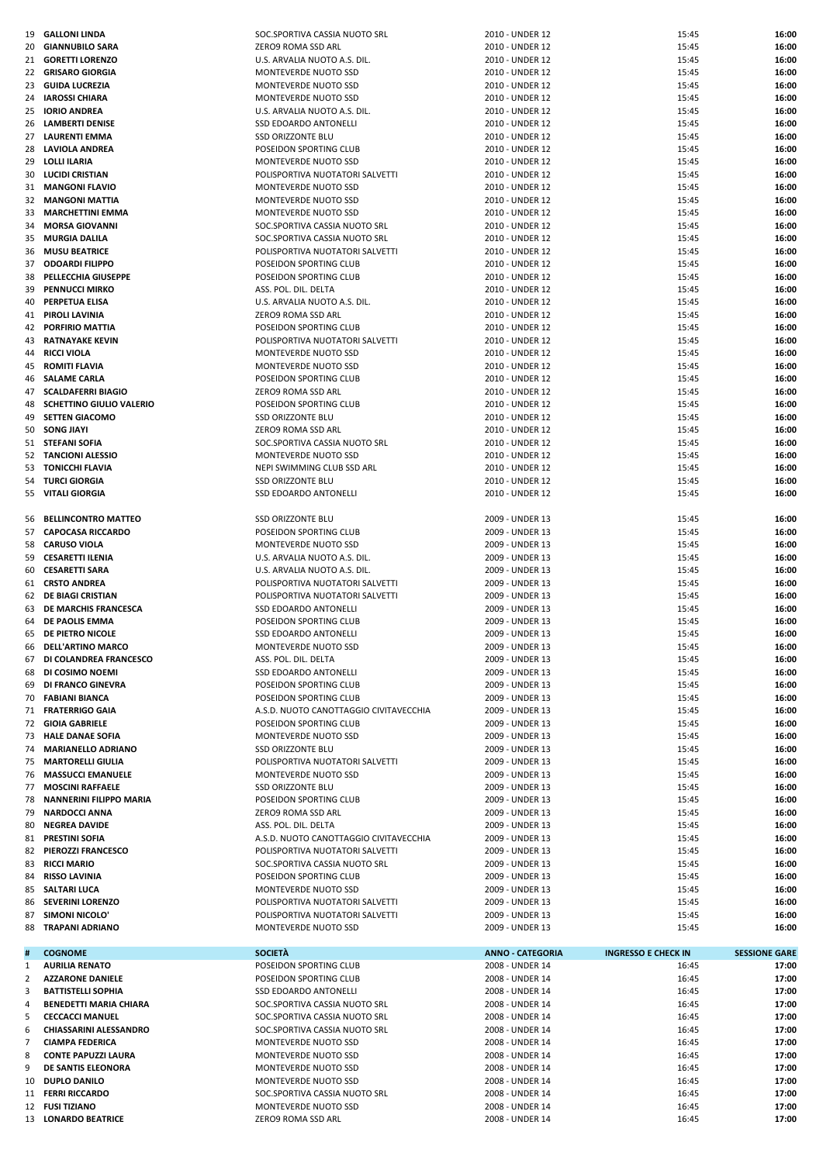|                | 19 GALLONI LINDA                | SOC.SPORTIVA CASSIA NUOTO SRL          | 2010 - UNDER 12         | 15:45                      | 16:00                |
|----------------|---------------------------------|----------------------------------------|-------------------------|----------------------------|----------------------|
| 20             | <b>GIANNUBILO SARA</b>          | ZERO9 ROMA SSD ARL                     | 2010 - UNDER 12         | 15:45                      | 16:00                |
| 21             | <b>GORETTI LORENZO</b>          | U.S. ARVALIA NUOTO A.S. DIL.           | 2010 - UNDER 12         | 15:45                      | 16:00                |
|                | 22 GRISARO GIORGIA              | MONTEVERDE NUOTO SSD                   | 2010 - UNDER 12         | 15:45                      | 16:00                |
| 23             | <b>GUIDA LUCREZIA</b>           | MONTEVERDE NUOTO SSD                   | 2010 - UNDER 12         | 15:45                      | 16:00                |
| 24             | <b>IAROSSI CHIARA</b>           | MONTEVERDE NUOTO SSD                   | 2010 - UNDER 12         | 15:45                      | 16:00                |
| 25             | <b>IORIO ANDREA</b>             | U.S. ARVALIA NUOTO A.S. DIL.           | 2010 - UNDER 12         | 15:45                      | 16:00                |
| 26             | <b>LAMBERTI DENISE</b>          | SSD EDOARDO ANTONELLI                  | 2010 - UNDER 12         | 15:45                      | 16:00                |
| 27             | LAURENTI EMMA                   | <b>SSD ORIZZONTE BLU</b>               | 2010 - UNDER 12         | 15:45                      | 16:00                |
|                |                                 |                                        |                         |                            |                      |
| 28             | LAVIOLA ANDREA                  | POSEIDON SPORTING CLUB                 | 2010 - UNDER 12         | 15:45                      | 16:00                |
| 29             | <b>LOLLI ILARIA</b>             | MONTEVERDE NUOTO SSD                   | 2010 - UNDER 12         | 15:45                      | 16:00                |
| 30             | <b>LUCIDI CRISTIAN</b>          | POLISPORTIVA NUOTATORI SALVETTI        | 2010 - UNDER 12         | 15:45                      | 16:00                |
| 31             | <b>MANGONI FLAVIO</b>           | MONTEVERDE NUOTO SSD                   | 2010 - UNDER 12         | 15:45                      | 16:00                |
| 32             | <b>MANGONI MATTIA</b>           | MONTEVERDE NUOTO SSD                   | 2010 - UNDER 12         | 15:45                      | 16:00                |
| 33             | <b>MARCHETTINI EMMA</b>         | MONTEVERDE NUOTO SSD                   | 2010 - UNDER 12         | 15:45                      | 16:00                |
| 34             | <b>MORSA GIOVANNI</b>           | SOC.SPORTIVA CASSIA NUOTO SRL          | 2010 - UNDER 12         | 15:45                      | 16:00                |
| 35             | <b>MURGIA DALILA</b>            | SOC.SPORTIVA CASSIA NUOTO SRL          | 2010 - UNDER 12         | 15:45                      | 16:00                |
| 36             | <b>MUSU BEATRICE</b>            | POLISPORTIVA NUOTATORI SALVETTI        | 2010 - UNDER 12         | 15:45                      | 16:00                |
| 37             | <b>ODOARDI FILIPPO</b>          | POSEIDON SPORTING CLUB                 | 2010 - UNDER 12         | 15:45                      | 16:00                |
|                |                                 |                                        |                         |                            |                      |
| 38             | PELLECCHIA GIUSEPPE             | POSEIDON SPORTING CLUB                 | 2010 - UNDER 12         | 15:45                      | 16:00                |
| 39             | <b>PENNUCCI MIRKO</b>           | ASS. POL. DIL. DELTA                   | 2010 - UNDER 12         | 15:45                      | 16:00                |
| 40             | PERPETUA ELISA                  | U.S. ARVALIA NUOTO A.S. DIL.           | 2010 - UNDER 12         | 15:45                      | 16:00                |
| 41             | PIROLI LAVINIA                  | ZERO9 ROMA SSD ARL                     | 2010 - UNDER 12         | 15:45                      | 16:00                |
| 42             | <b>PORFIRIO MATTIA</b>          | POSEIDON SPORTING CLUB                 | 2010 - UNDER 12         | 15:45                      | 16:00                |
| 43             | <b>RATNAYAKE KEVIN</b>          | POLISPORTIVA NUOTATORI SALVETTI        | 2010 - UNDER 12         | 15:45                      | 16:00                |
| 44             | <b>RICCI VIOLA</b>              | MONTEVERDE NUOTO SSD                   | 2010 - UNDER 12         | 15:45                      | 16:00                |
| 45             | <b>ROMITI FLAVIA</b>            | MONTEVERDE NUOTO SSD                   | 2010 - UNDER 12         | 15:45                      | 16:00                |
| 46             | <b>SALAME CARLA</b>             | POSEIDON SPORTING CLUB                 | 2010 - UNDER 12         | 15:45                      | 16:00                |
| 47             | <b>SCALDAFERRI BIAGIO</b>       | ZERO9 ROMA SSD ARL                     | 2010 - UNDER 12         | 15:45                      | 16:00                |
|                |                                 |                                        |                         |                            |                      |
| 48             | <b>SCHETTINO GIULIO VALERIO</b> | POSEIDON SPORTING CLUB                 | 2010 - UNDER 12         | 15:45                      | 16:00                |
| 49             | <b>SETTEN GIACOMO</b>           | <b>SSD ORIZZONTE BLU</b>               | 2010 - UNDER 12         | 15:45                      | 16:00                |
| 50             | <b>SONG JIAYI</b>               | ZERO9 ROMA SSD ARL                     | 2010 - UNDER 12         | 15:45                      | 16:00                |
|                | 51 STEFANI SOFIA                | SOC.SPORTIVA CASSIA NUOTO SRL          | 2010 - UNDER 12         | 15:45                      | 16:00                |
|                | 52 TANCIONI ALESSIO             | MONTEVERDE NUOTO SSD                   | 2010 - UNDER 12         | 15:45                      | 16:00                |
| 53             | <b>TONICCHI FLAVIA</b>          | NEPI SWIMMING CLUB SSD ARL             | 2010 - UNDER 12         | 15:45                      | 16:00                |
| 54             | <b>TURCI GIORGIA</b>            | <b>SSD ORIZZONTE BLU</b>               | 2010 - UNDER 12         | 15:45                      | 16:00                |
| 55             | <b>VITALI GIORGIA</b>           | <b>SSD EDOARDO ANTONELLI</b>           | 2010 - UNDER 12         | 15:45                      | 16:00                |
|                |                                 |                                        |                         |                            |                      |
| 56             | <b>BELLINCONTRO MATTEO</b>      | <b>SSD ORIZZONTE BLU</b>               | 2009 - UNDER 13         | 15:45                      | 16:00                |
|                |                                 |                                        |                         |                            |                      |
|                | 57 CAPOCASA RICCARDO            | POSEIDON SPORTING CLUB                 | 2009 - UNDER 13         | 15:45                      | 16:00                |
| 58             | <b>CARUSO VIOLA</b>             | MONTEVERDE NUOTO SSD                   | 2009 - UNDER 13         | 15:45                      | 16:00                |
| 59             | <b>CESARETTI ILENIA</b>         | U.S. ARVALIA NUOTO A.S. DIL.           | 2009 - UNDER 13         | 15:45                      | 16:00                |
| 60             | <b>CESARETTI SARA</b>           | U.S. ARVALIA NUOTO A.S. DIL.           | 2009 - UNDER 13         | 15:45                      | 16:00                |
| 61             | <b>CRSTO ANDREA</b>             | POLISPORTIVA NUOTATORI SALVETTI        | 2009 - UNDER 13         | 15:45                      | 16:00                |
|                |                                 |                                        |                         |                            |                      |
|                | 62 DE BIAGI CRISTIAN            | POLISPORTIVA NUOTATORI SALVETTI        | 2009 - UNDER 13         | 15:45                      | 16:00                |
| 63             | DE MARCHIS FRANCESCA            | SSD EDOARDO ANTONELLI                  | 2009 - UNDER 13         | 15:45                      | 16:00                |
| 64             |                                 |                                        | 2009 - UNDER 13         |                            |                      |
|                | DE PAOLIS EMMA                  | POSEIDON SPORTING CLUB                 |                         | 15:45                      | 16:00                |
| 65             | DE PIETRO NICOLE                | <b>SSD EDOARDO ANTONELLI</b>           | 2009 - UNDER 13         | 15:45                      | 16:00                |
| 66             | <b>DELL'ARTINO MARCO</b>        | MONTEVERDE NUOTO SSD                   | 2009 - UNDER 13         | 15:45                      | 16:00                |
|                | 67 DI COLANDREA FRANCESCO       | ASS. POL. DIL. DELTA                   | 2009 - UNDER 13         | 15:45                      | 16:00                |
| 68             | DI COSIMO NOEMI                 | SSD EDOARDO ANTONELLI                  | 2009 - UNDER 13         | 15:45                      | 16:00                |
| 69             | DI FRANCO GINEVRA               | POSEIDON SPORTING CLUB                 | 2009 - UNDER 13         | 15:45                      | 16:00                |
| 70             | <b>FABIANI BIANCA</b>           | POSEIDON SPORTING CLUB                 | 2009 - UNDER 13         | 15:45                      | 16:00                |
|                | 71 FRATERRIGO GAIA              | A.S.D. NUOTO CANOTTAGGIO CIVITAVECCHIA | 2009 - UNDER 13         | 15:45                      | 16:00                |
| 72             | <b>GIOIA GABRIELE</b>           | POSEIDON SPORTING CLUB                 | 2009 - UNDER 13         | 15:45                      | 16:00                |
|                | 73 HALE DANAE SOFIA             | <b>MONTEVERDE NUOTO SSD</b>            | 2009 - UNDER 13         | 15:45                      | 16:00                |
| 74             | <b>MARIANELLO ADRIANO</b>       | <b>SSD ORIZZONTE BLU</b>               | 2009 - UNDER 13         | 15:45                      | 16:00                |
|                | 75 MARTORELLI GIULIA            | POLISPORTIVA NUOTATORI SALVETTI        | 2009 - UNDER 13         | 15:45                      | 16:00                |
| 76             | <b>MASSUCCI EMANUELE</b>        | MONTEVERDE NUOTO SSD                   | 2009 - UNDER 13         | 15:45                      | 16:00                |
|                | <b>MOSCINI RAFFAELE</b>         | <b>SSD ORIZZONTE BLU</b>               | 2009 - UNDER 13         | 15:45                      | 16:00                |
| 77             |                                 |                                        |                         |                            |                      |
| 78             | <b>NANNERINI FILIPPO MARIA</b>  | POSEIDON SPORTING CLUB                 | 2009 - UNDER 13         | 15:45                      | 16:00                |
| 79             | <b>NARDOCCI ANNA</b>            | ZERO9 ROMA SSD ARL                     | 2009 - UNDER 13         | 15:45                      | 16:00                |
| 80             | <b>NEGREA DAVIDE</b>            | ASS. POL. DIL. DELTA                   | 2009 - UNDER 13         | 15:45                      | 16:00                |
| 81             | <b>PRESTINI SOFIA</b>           | A.S.D. NUOTO CANOTTAGGIO CIVITAVECCHIA | 2009 - UNDER 13         | 15:45                      | 16:00                |
|                | 82 PIEROZZI FRANCESCO           | POLISPORTIVA NUOTATORI SALVETTI        | 2009 - UNDER 13         | 15:45                      | 16:00                |
| 83             | <b>RICCI MARIO</b>              | SOC.SPORTIVA CASSIA NUOTO SRL          | 2009 - UNDER 13         | 15:45                      | 16:00                |
| 84             | <b>RISSO LAVINIA</b>            | POSEIDON SPORTING CLUB                 | 2009 - UNDER 13         | 15:45                      | 16:00                |
| 85             | SALTARI LUCA                    | MONTEVERDE NUOTO SSD                   | 2009 - UNDER 13         | 15:45                      | 16:00                |
| 86             | <b>SEVERINI LORENZO</b>         | POLISPORTIVA NUOTATORI SALVETTI        | 2009 - UNDER 13         | 15:45                      | 16:00                |
| 87             | SIMONI NICOLO                   | POLISPORTIVA NUOTATORI SALVETTI        | 2009 - UNDER 13         | 15:45                      | 16:00                |
| 88             | <b>TRAPANI ADRIANO</b>          | MONTEVERDE NUOTO SSD                   | 2009 - UNDER 13         | 15:45                      | 16:00                |
|                |                                 |                                        |                         |                            |                      |
| #              | <b>COGNOME</b>                  | <b>SOCIETÀ</b>                         | <b>ANNO - CATEGORIA</b> | <b>INGRESSO E CHECK IN</b> | <b>SESSIONE GARE</b> |
| $\mathbf{1}$   | <b>AURILIA RENATO</b>           | POSEIDON SPORTING CLUB                 | 2008 - UNDER 14         | 16:45                      | 17:00                |
| 2              | <b>AZZARONE DANIELE</b>         | POSEIDON SPORTING CLUB                 | 2008 - UNDER 14         | 16:45                      | 17:00                |
|                |                                 |                                        |                         |                            |                      |
| 3              | <b>BATTISTELLI SOPHIA</b>       | SSD EDOARDO ANTONELLI                  | 2008 - UNDER 14         | 16:45                      | 17:00                |
| 4              | <b>BENEDETTI MARIA CHIARA</b>   | SOC.SPORTIVA CASSIA NUOTO SRL          | 2008 - UNDER 14         | 16:45                      | 17:00                |
| 5              | <b>CECCACCI MANUEL</b>          | SOC.SPORTIVA CASSIA NUOTO SRL          | 2008 - UNDER 14         | 16:45                      | 17:00                |
| 6              | <b>CHIASSARINI ALESSANDRO</b>   | SOC.SPORTIVA CASSIA NUOTO SRL          | 2008 - UNDER 14         | 16:45                      | 17:00                |
| $\overline{7}$ | <b>CIAMPA FEDERICA</b>          | MONTEVERDE NUOTO SSD                   | 2008 - UNDER 14         | 16:45                      | 17:00                |
| 8              | <b>CONTE PAPUZZI LAURA</b>      | MONTEVERDE NUOTO SSD                   | 2008 - UNDER 14         | 16:45                      | 17:00                |
| 9              | DE SANTIS ELEONORA              | MONTEVERDE NUOTO SSD                   | 2008 - UNDER 14         | 16:45                      | 17:00                |
| 10             | DUPLO DANILO                    | MONTEVERDE NUOTO SSD                   | 2008 - UNDER 14         | 16:45                      | 17:00                |
|                | 11 FERRI RICCARDO               | SOC.SPORTIVA CASSIA NUOTO SRL          | 2008 - UNDER 14         | 16:45                      | 17:00                |
|                | 12 FUSI TIZIANO                 | MONTEVERDE NUOTO SSD                   | 2008 - UNDER 14         | 16:45                      | 17:00                |